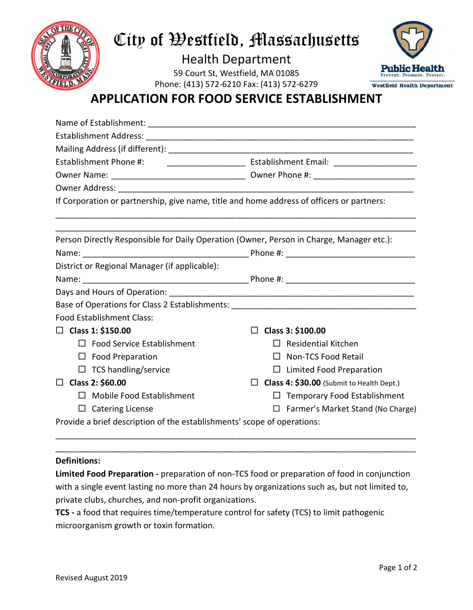

## City of Westfield, Massachusetts

Health Department 59 Court St, Westfield, MA 01085 Phone: (413) 572-6210 Fax: (413) 572-6279



## **APPLICATION FOR FOOD SERVICE ESTABLISHMENT**

| Establishment Phone #: ___________________________ Establishment Email: ___________________________ |                                           |  |
|-----------------------------------------------------------------------------------------------------|-------------------------------------------|--|
|                                                                                                     |                                           |  |
|                                                                                                     |                                           |  |
| If Corporation or partnership, give name, title and home address of officers or partners:           |                                           |  |
|                                                                                                     |                                           |  |
|                                                                                                     |                                           |  |
| Person Directly Responsible for Daily Operation (Owner, Person in Charge, Manager etc.):            |                                           |  |
|                                                                                                     |                                           |  |
| District or Regional Manager (if applicable):                                                       |                                           |  |
|                                                                                                     |                                           |  |
|                                                                                                     |                                           |  |
|                                                                                                     |                                           |  |
| <b>Food Establishment Class:</b>                                                                    |                                           |  |
| □ Class 1: \$150.00                                                                                 | $\Box$ Class 3: \$100.00                  |  |
| $\Box$ Food Service Establishment                                                                   | $\Box$ Residential Kitchen                |  |
| $\Box$ Food Preparation                                                                             | $\Box$ Non-TCS Food Retail                |  |
| $\Box$ TCS handling/service                                                                         | $\Box$ Limited Food Preparation           |  |
| $\Box$ Class 2: \$60.00                                                                             | Class 4: \$30.00 (Submit to Health Dept.) |  |
| $\Box$ Mobile Food Establishment                                                                    | $\Box$ Temporary Food Establishment       |  |
| $\Box$ Catering License                                                                             | $\Box$ Farmer's Market Stand (No Charge)  |  |
| Provide a brief description of the establishments' scope of operations:                             |                                           |  |

#### **Definitions:**

**Limited Food Preparation -** preparation of non-TCS food or preparation of food in conjunction with a single event lasting no more than 24 hours by organizations such as, but not limited to, private clubs, churches, and non-profit organizations.

\_\_\_\_\_\_\_\_\_\_\_\_\_\_\_\_\_\_\_\_\_\_\_\_\_\_\_\_\_\_\_\_\_\_\_\_\_\_\_\_\_\_\_\_\_\_\_\_\_\_\_\_\_\_\_\_\_\_\_\_\_\_\_\_\_\_\_\_\_\_\_\_\_\_\_\_\_\_ \_\_\_\_\_\_\_\_\_\_\_\_\_\_\_\_\_\_\_\_\_\_\_\_\_\_\_\_\_\_\_\_\_\_\_\_\_\_\_\_\_\_\_\_\_\_\_\_\_\_\_\_\_\_\_\_\_\_\_\_\_\_\_\_\_\_\_\_\_\_\_\_\_\_\_\_\_\_

**TCS -** a food that requires time/temperature control for safety (TCS) to limit pathogenic microorganism growth or toxin formation.